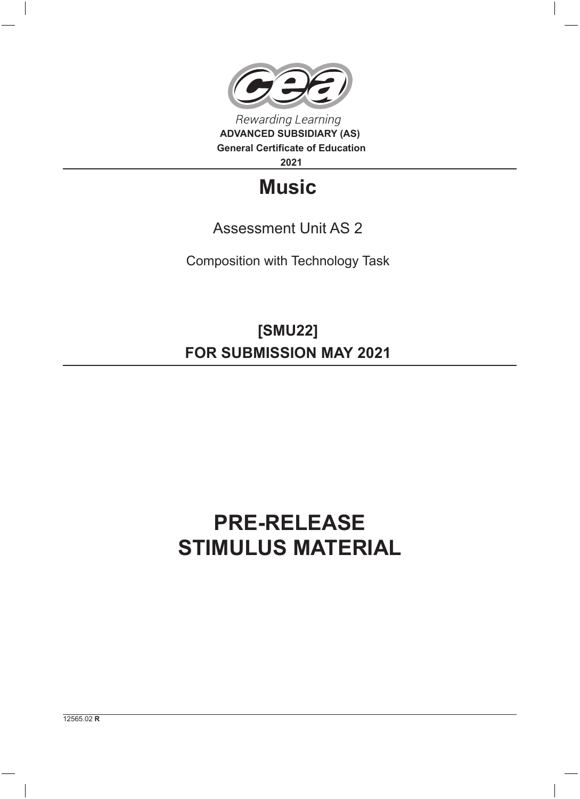

## **Music**

## Assessment Unit AS 2

Composition with Technology Task

**[SMU22] FOR SUBMISSION MAY 2021**

## **PRE-RELEASE STIMULUS MATERIAL**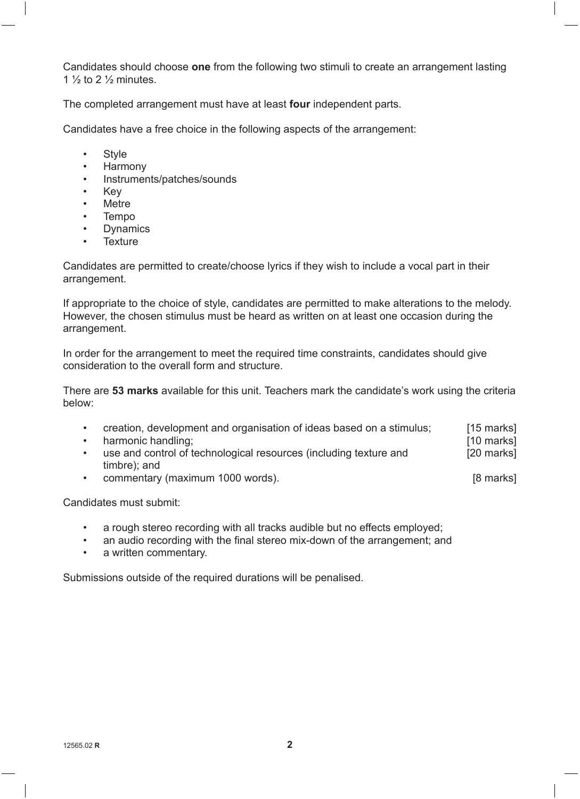Candidates should choose **one** from the following two stimuli to create an arrangement lasting 1  $\frac{1}{2}$  to 2  $\frac{1}{2}$  minutes.

The completed arrangement must have at least **four** independent parts.

Candidates have a free choice in the following aspects of the arrangement:

- Style
- Harmony
- Instruments/patches/sounds
- Key
- **Metre**
- Tempo
- Dynamics
- Texture

Candidates are permitted to create/choose lyrics if they wish to include a vocal part in their arrangement.

If appropriate to the choice of style, candidates are permitted to make alterations to the melody. However, the chosen stimulus must be heard as written on at least one occasion during the arrangement.

In order for the arrangement to meet the required time constraints, candidates should give consideration to the overall form and structure.

There are **53 marks** available for this unit. Teachers mark the candidate's work using the criteria below:

- [15 marks] • creation, development and organisation of ideas based on a stimulus;
- harmonic handling:
- [20 marks] use and control of technological resources (including texture and timbre); and
- commentary (maximum 1000 words). The commentary (maximum 1000 words).

[10 marks]

Candidates must submit:

- a rough stereo recording with all tracks audible but no effects employed;
- an audio recording with the final stereo mix-down of the arrangement; and
- a written commentary.

Submissions outside of the required durations will be penalised.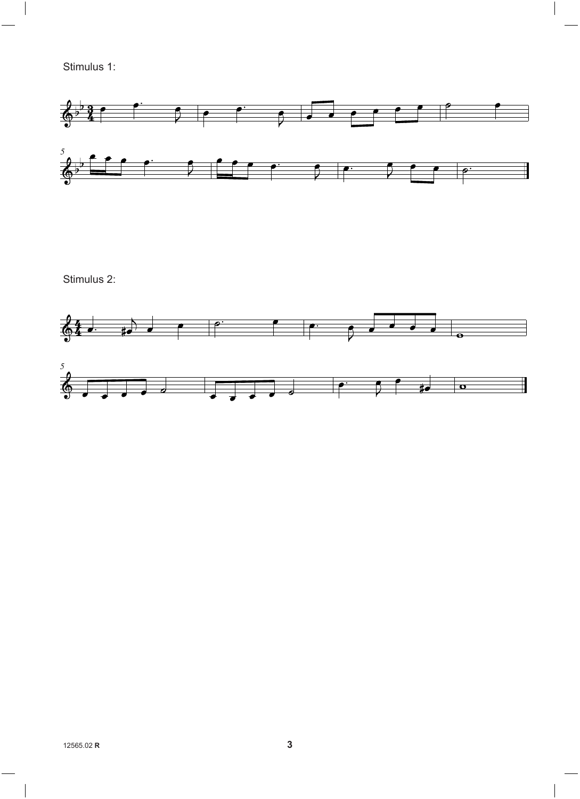Stimulus 1:



Stimulus 2: